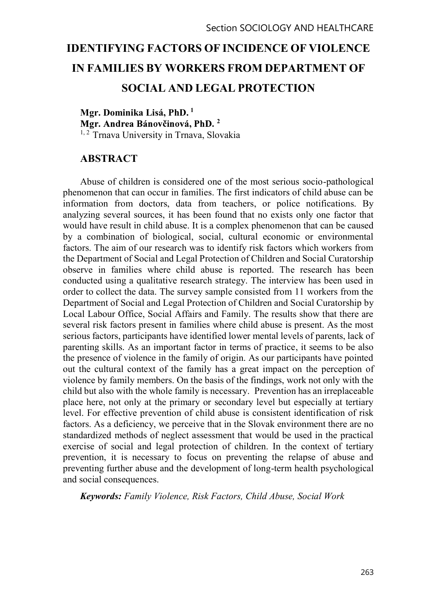# IDENTIFYING FACTORS OF INCIDENCE OF VIOLENCE IN FAMILIES BY WORKERS FROM DEPARTMENT OF SOCIAL AND LEGAL PROTECTION

Mgr. Dominika Lisá, PhD. 1 2 <sup>1, 2</sup> Trnava University in Trnava, Slovakia

# ABSTRACT

Abuse of children is considered one of the most serious socio-pathological phenomenon that can occur in families. The first indicators of child abuse can be information from doctors, data from teachers, or police notifications. By analyzing several sources, it has been found that no exists only one factor that would have result in child abuse. It is a complex phenomenon that can be caused by a combination of biological, social, cultural economic or environmental factors. The aim of our research was to identify risk factors which workers from the Department of Social and Legal Protection of Children and Social Curatorship observe in families where child abuse is reported. The research has been conducted using a qualitative research strategy. The interview has been used in order to collect the data. The survey sample consisted from 11 workers from the Department of Social and Legal Protection of Children and Social Curatorship by Local Labour Office, Social Affairs and Family. The results show that there are several risk factors present in families where child abuse is present. As the most serious factors, participants have identified lower mental levels of parents, lack of parenting skills. As an important factor in terms of practice, it seems to be also the presence of violence in the family of origin. As our participants have pointed out the cultural context of the family has a great impact on the perception of violence by family members. On the basis of the findings, work not only with the child but also with the whole family is necessary. Prevention has an irreplaceable place here, not only at the primary or secondary level but especially at tertiary level. For effective prevention of child abuse is consistent identification of risk factors. As a deficiency, we perceive that in the Slovak environment there are no standardized methods of neglect assessment that would be used in the practical exercise of social and legal protection of children. In the context of tertiary prevention, it is necessary to focus on preventing the relapse of abuse and preventing further abuse and the development of long-term health psychological and social consequences.

Keywords: Family Violence, Risk Factors, Child Abuse, Social Work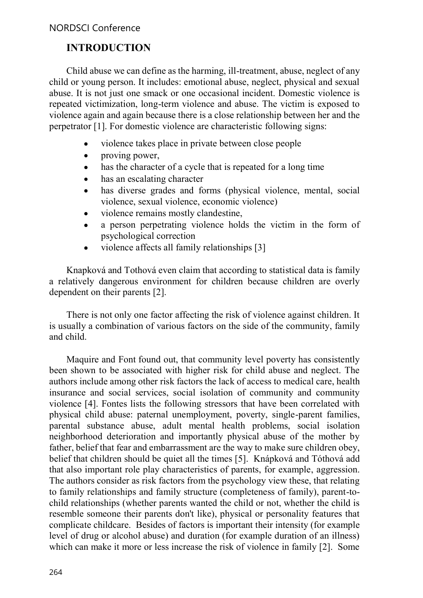# INTRODUCTION

Child abuse we can define as the harming, ill-treatment, abuse, neglect of any child or young person. It includes: emotional abuse, neglect, physical and sexual abuse. It is not just one smack or one occasional incident. Domestic violence is repeated victimization, long-term violence and abuse. The victim is exposed to violence again and again because there is a close relationship between her and the perpetrator [1]. For domestic violence are characteristic following signs:

- $\bullet$ violence takes place in private between close people
- proving power,  $\bullet$
- has the character of a cycle that is repeated for a long time  $\bullet$
- has an escalating character  $\bullet$
- has diverse grades and forms (physical violence, mental, social  $\bullet$ violence, sexual violence, economic violence)
- violence remains mostly clandestine,  $\bullet$
- a person perpetrating violence holds the victim in the form of  $\bullet$ psychological correction
- violence affects all family relationships [3]  $\bullet$

Knapková and Tothová even claim that according to statistical data is family a relatively dangerous environment for children because children are overly dependent on their parents [2].

There is not only one factor affecting the risk of violence against children. It is usually a combination of various factors on the side of the community, family and child.

Maquire and Font found out, that community level poverty has consistently been shown to be associated with higher risk for child abuse and neglect. The authors include among other risk factors the lack of access to medical care, health insurance and social services, social isolation of community and community violence [4]. Fontes lists the following stressors that have been correlated with physical child abuse: paternal unemployment, poverty, single-parent families, parental substance abuse, adult mental health problems, social isolation neighborhood deterioration and importantly physical abuse of the mother by father, belief that fear and embarrassment are the way to make sure children obey, belief that children should be quiet all the times [5]. Knápková and Tóthová add that also important role play characteristics of parents, for example, aggression. The authors consider as risk factors from the psychology view these, that relating to family relationships and family structure (completeness of family), parent-tochild relationships (whether parents wanted the child or not, whether the child is resemble someone their parents don't like), physical or personality features that complicate childcare. Besides of factors is important their intensity (for example level of drug or alcohol abuse) and duration (for example duration of an illness) which can make it more or less increase the risk of violence in family [2]. Some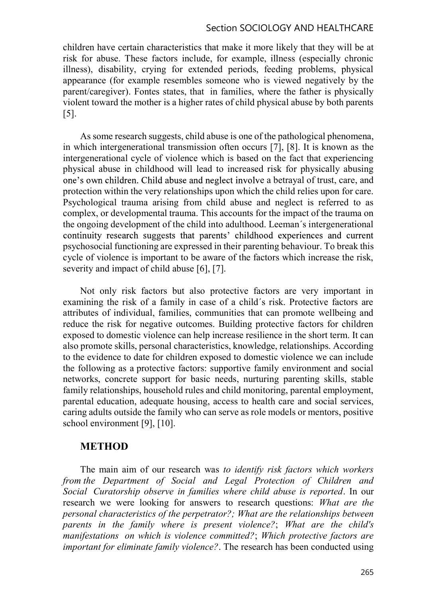#### Section SOCIOLOGY AND HEALTHCARE

children have certain characteristics that make it more likely that they will be at risk for abuse. These factors include, for example, illness (especially chronic illness), disability, crying for extended periods, feeding problems, physical appearance (for example resembles someone who is viewed negatively by the parent/caregiver). Fontes states, that in families, where the father is physically violent toward the mother is a higher rates of child physical abuse by both parents [5].

As some research suggests, child abuse is one of the pathological phenomena, in which intergenerational transmission often occurs [7], [8]. It is known as the intergenerational cycle of violence which is based on the fact that experiencing physical abuse in childhood will lead to increased risk for physically abusing one's own children. Child abuse and neglect involve a betrayal of trust, care, and protection within the very relationships upon which the child relies upon for care. Psychological trauma arising from child abuse and neglect is referred to as complex, or developmental trauma. This accounts for the impact of the trauma on the ongoing development of the child into adulthood. Leeman´s intergenerational continuity research suggests that parents' childhood experiences and current psychosocial functioning are expressed in their parenting behaviour. To break this cycle of violence is important to be aware of the factors which increase the risk, severity and impact of child abuse [6], [7].

Not only risk factors but also protective factors are very important in examining the risk of a family in case of a child´s risk. Protective factors are attributes of individual, families, communities that can promote wellbeing and reduce the risk for negative outcomes. Building protective factors for children exposed to domestic violence can help increase resilience in the short term. It can also promote skills, personal characteristics, knowledge, relationships. According to the evidence to date for children exposed to domestic violence we can include the following as a protective factors: supportive family environment and social networks, concrete support for basic needs, nurturing parenting skills, stable family relationships, household rules and child monitoring, parental employment, parental education, adequate housing, access to health care and social services, caring adults outside the family who can serve as role models or mentors, positive school environment [9], [10].

#### METHOD

The main aim of our research was to identify risk factors which workers from the Department of Social and Legal Protection of Children and Social Curatorship observe in families where child abuse is reported. In our research we were looking for answers to research questions: What are the personal characteristics of the perpetrator?; What are the relationships between parents in the family where is present violence?; What are the child's manifestations on which is violence committed?; Which protective factors are important for eliminate family violence?. The research has been conducted using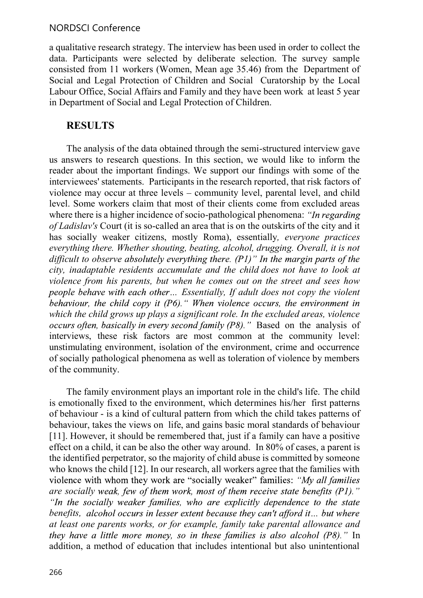#### NORDSCI Conference

a qualitative research strategy. The interview has been used in order to collect the data. Participants were selected by deliberate selection. The survey sample consisted from 11 workers (Women, Mean age 35.46) from the Department of Social and Legal Protection of Children and Social Curatorship by the Local Labour Office, Social Affairs and Family and they have been work at least 5 year in Department of Social and Legal Protection of Children.

## RESULTS

The analysis of the data obtained through the semi-structured interview gave us answers to research questions. In this section, we would like to inform the reader about the important findings. We support our findings with some of the interviewees' statements. Participants in the research reported, that risk factors of violence may occur at three levels – community level, parental level, and child level. Some workers claim that most of their clients come from excluded areas where there is a higher incidence of socio-pathological phenomena: "In regarding of Ladislav's Court (it is so-called an area that is on the outskirts of the city and it has socially weaker citizens, mostly Roma), essentially, everyone practices everything there. Whether shouting, beating, alcohol, drugging. Overall, it is not difficult to observe absolutely everything there.  $(PI)$ " In the margin parts of the city, inadaptable residents accumulate and the child does not have to look at violence from his parents, but when he comes out on the street and sees how people behave with each other... Essentially, If adult does not copy the violent behaviour, the child copy it  $(P6)$ . "When violence occurs, the environment in which the child grows up plays a significant role. In the excluded areas, violence occurs often, basically in every second family  $(P8)$ ." Based on the analysis of interviews, these risk factors are most common at the community level: unstimulating environment, isolation of the environment, crime and occurrence of socially pathological phenomena as well as toleration of violence by members of the community.

The family environment plays an important role in the child's life. The child is emotionally fixed to the environment, which determines his/her first patterns of behaviour - is a kind of cultural pattern from which the child takes patterns of behaviour, takes the views on life, and gains basic moral standards of behaviour [11]. However, it should be remembered that, just if a family can have a positive effect on a child, it can be also the other way around. In 80% of cases, a parent is the identified perpetrator, so the majority of child abuse is committed by someone who knows the child [12]. In our research, all workers agree that the families with violence with whom they work are "socially weaker" families: "My all families" are socially weak, few of them work, most of them receive state benefits  $(PI)$ ." "In the socially weaker families, who are explicitly dependence to the state benefits, alcohol occurs in lesser extent because they can't afford it... but where at least one parents works, or for example, family take parental allowance and they have a little more money, so in these families is also alcohol  $(P8)$ ." In addition, a method of education that includes intentional but also unintentional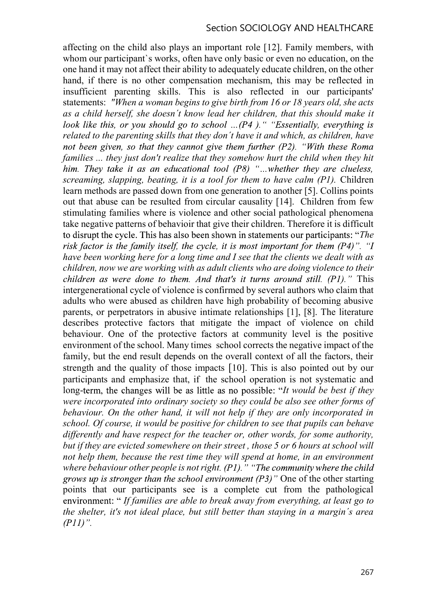affecting on the child also plays an important role [12]. Family members, with whom our participant's works, often have only basic or even no education, on the one hand it may not affect their ability to adequately educate children, on the other hand, if there is no other compensation mechanism, this may be reflected in insufficient parenting skills. This is also reflected in our participants' statements: "When a woman begins to give birth from 16 or 18 years old, she acts as a child herself, she doesn´t know lead her children, that this should make it look like this, or you should go to school ...( $P4$ ). " "Essentially, everything is related to the parenting skills that they don´t have it and which, as children, have not been given, so that they cannot give them further  $(P2)$ . "With these Roma" families ... they just don't realize that they somehow hurt the child when they hit him. They take it as an educational tool  $(P8)$  "...whether they are clueless, screaming, slapping, beating, it is a tool for them to have calm (P1). Children learn methods are passed down from one generation to another [5]. Collins points out that abuse can be resulted from circular causality [14]. Children from few stimulating families where is violence and other social pathological phenomena take negative patterns of behavioir that give their children. Therefore it is difficult to disrupt the cycle. This has also been shown in statements our participants: "The risk factor is the family itself, the cycle, it is most important for them  $(P4)$ ". "I have been working here for a long time and I see that the clients we dealt with as children, now we are working with as adult clients who are doing violence to their children as were done to them. And that's it turns around still.  $(PI)$ ." This intergenerational cycle of violence is confirmed by several authors who claim that adults who were abused as children have high probability of becoming abusive parents, or perpetrators in abusive intimate relationships [1], [8]. The literature describes protective factors that mitigate the impact of violence on child behaviour. One of the protective factors at community level is the positive environment of the school. Many times school corrects the negative impact of the family, but the end result depends on the overall context of all the factors, their strength and the quality of those impacts [10]. This is also pointed out by our participants and emphasize that, if the school operation is not systematic and long-term, the changes will be as little as no possible: "It would be best if they were incorporated into ordinary society so they could be also see other forms of behaviour. On the other hand, it will not help if they are only incorporated in school. Of course, it would be positive for children to see that pupils can behave differently and have respect for the teacher or, other words, for some authority, but if they are evicted somewhere on their street , those 5 or 6 hours at school will not help them, because the rest time they will spend at home, in an environment where behaviour other people is not right.  $(P1)$ . "The community where the child grows up is stronger than the school environment  $(P3)$ " One of the other starting points that our participants see is a complete cut from the pathological environment: "If families are able to break away from everything, at least go to the shelter, it's not ideal place, but still better than staying in a margin´s area  $(PI1)$ ".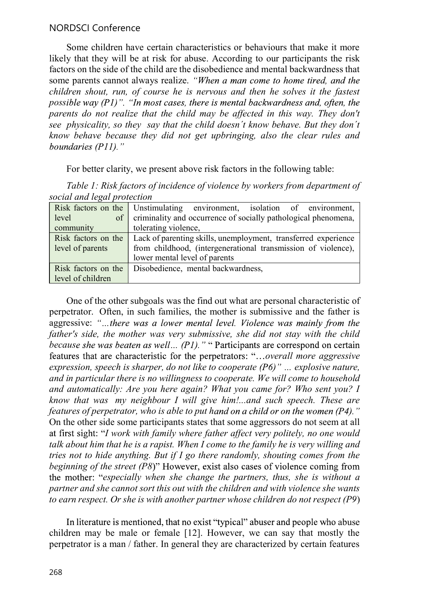#### NORDSCI Conference

Some children have certain characteristics or behaviours that make it more likely that they will be at risk for abuse. According to our participants the risk factors on the side of the child are the disobedience and mental backwardness that some parents cannot always realize. "When a man come to home tired, and the children shout, run, of course he is nervous and then he solves it the fastest possible way  $(P1)$ ". "In most cases, there is mental backwardness and, often, the parents do not realize that the child may be affected in this way. They don't see physicality, so they say that the child doesn't know behave. But they don't know behave because they did not get upbringing, also the clear rules and boundaries (P11)."

For better clarity, we present above risk factors in the following table:

| social and legal protection |                                                                                    |
|-----------------------------|------------------------------------------------------------------------------------|
|                             | Risk factors on the Unstimulating environment, isolation of environment,           |
| level<br>$of \vert$         | criminality and occurrence of socially pathological phenomena,                     |
| community                   | tolerating violence,                                                               |
|                             | Risk factors on the Lack of parenting skills, unemployment, transferred experience |
| level of parents            | from childhood, (intergenerational transmission of violence),                      |
|                             | lower mental level of parents                                                      |
| Risk factors on the         | Disobedience, mental backwardness,                                                 |
| level of children           |                                                                                    |

Table 1: Risk factors of incidence of violence by workers from department of social and legal protection

One of the other subgoals was the find out what are personal characteristic of perpetrator. Often, in such families, the mother is submissive and the father is aggressive: "...there was a lower mental level. Violence was mainly from the father's side, the mother was very submissive, she did not stay with the child because she was beaten as well...  $(P1)$ . " "Participants are correspond on certain features that are characteristic for the perpetrators: "...overall more aggressive expression, speech is sharper, do not like to cooperate  $(P6)$ " ... explosive nature, and in particular there is no willingness to cooperate. We will come to household and automatically: Are you here again? What you came for? Who sent you? I know that was my neighbour I will give him!...and such speech. These are features of perpetrator, who is able to put hand on a child or on the women  $(P4)$ ." On the other side some participants states that some aggressors do not seem at all at first sight: "I work with family where father affect very politely, no one would talk about him that he is a rapist. When I come to the family he is very willing and tries not to hide anything. But if I go there randomly, shouting comes from the beginning of the street  $(P8)$ " However, exist also cases of violence coming from the mother: "especially when she change the partners, thus, she is without a partner and she cannot sort this out with the children and with violence she wants to earn respect. Or she is with another partner whose children do not respect (P9)

In literature is mentioned, that no exist "typical" abuser and people who abuse children may be male or female [12]. However, we can say that mostly the perpetrator is a man / father. In general they are characterized by certain features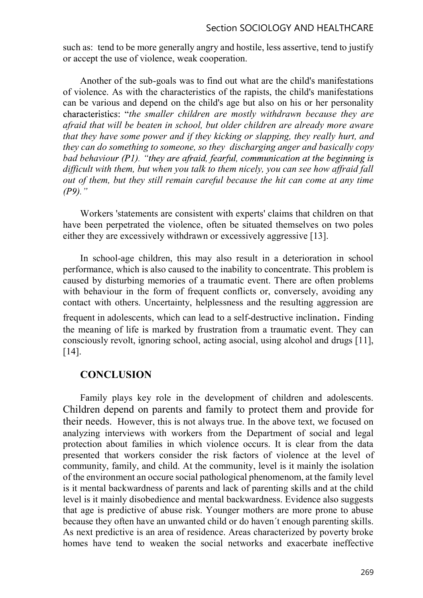such as: tend to be more generally angry and hostile, less assertive, tend to justify or accept the use of violence, weak cooperation.

Another of the sub-goals was to find out what are the child's manifestations of violence. As with the characteristics of the rapists, the child's manifestations can be various and depend on the child's age but also on his or her personality characteristics: "the smaller children are mostly withdrawn because they are afraid that will be beaten in school, but older children are already more aware that they have some power and if they kicking or slapping, they really hurt, and they can do something to someone, so they discharging anger and basically copy bad behaviour  $(P1)$ . "they are afraid, fearful, communication at the beginning is difficult with them, but when you talk to them nicely, you can see how affraid fall out of them, but they still remain careful because the hit can come at any time  $(P9)$ ."

Workers 'statements are consistent with experts' claims that children on that have been perpetrated the violence, often be situated themselves on two poles either they are excessively withdrawn or excessively aggressive [13].

In school-age children, this may also result in a deterioration in school performance, which is also caused to the inability to concentrate. This problem is caused by disturbing memories of a traumatic event. There are often problems with behaviour in the form of frequent conflicts or, conversely, avoiding any contact with others. Uncertainty, helplessness and the resulting aggression are frequent in adolescents, which can lead to a self-destructive inclination. Finding the meaning of life is marked by frustration from a traumatic event. They can consciously revolt, ignoring school, acting asocial, using alcohol and drugs [11], [14].

#### **CONCLUSION**

Family plays key role in the development of children and adolescents. Children depend on parents and family to protect them and provide for their needs. However, this is not always true. In the above text, we focused on analyzing interviews with workers from the Department of social and legal protection about families in which violence occurs. It is clear from the data presented that workers consider the risk factors of violence at the level of community, family, and child. At the community, level is it mainly the isolation of the environment an occure social pathological phenomenom, at the family level is it mental backwardness of parents and lack of parenting skills and at the child level is it mainly disobedience and mental backwardness. Evidence also suggests that age is predictive of abuse risk. Younger mothers are more prone to abuse because they often have an unwanted child or do haven´t enough parenting skills. As next predictive is an area of residence. Areas characterized by poverty broke homes have tend to weaken the social networks and exacerbate ineffective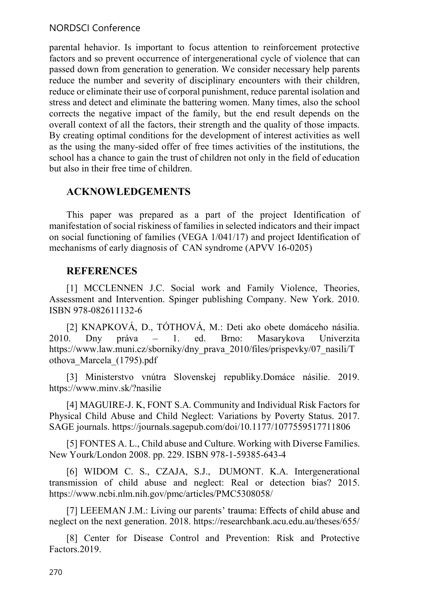## NORDSCI Conference

parental hehavior. Is important to focus attention to reinforcement protective factors and so prevent occurrence of intergenerational cycle of violence that can passed down from generation to generation. We consider necessary help parents reduce the number and severity of disciplinary encounters with their children, reduce or eliminate their use of corporal punishment, reduce parental isolation and stress and detect and eliminate the battering women. Many times, also the school corrects the negative impact of the family, but the end result depends on the overall context of all the factors, their strength and the quality of those impacts. By creating optimal conditions for the development of interest activities as well as the using the many-sided offer of free times activities of the institutions, the school has a chance to gain the trust of children not only in the field of education but also in their free time of children.

# ACKNOWLEDGEMENTS

This paper was prepared as a part of the project Identification of manifestation of social riskiness of families in selected indicators and their impact on social functioning of families (VEGA 1/041/17) and project Identification of mechanisms of early diagnosis of CAN syndrome (APVV 16-0205)

# REFERENCES

[1] MCCLENNEN J.C. Social work and Family Violence, Theories, Assessment and Intervention. Spinger publishing Company. New York. 2010. ISBN 978-082611132-6

[2] KNAPKOVÁ, D., TÓTHOVÁ, M.: Deti ako obete domáceho násilia. 2010. Dny práva – 1. ed. Brno: Masarykova Univerzita https://www.law.muni.cz/sborniky/dny\_prava\_2010/files/prispevky/07\_nasili/T othova\_Marcela\_(1795).pdf

[3] Ministerstvo vnútra Slovenskej republiky.Domáce násilie. 2019. https://www.minv.sk/?nasilie

[4] MAGUIRE-J. K, FONT S.A. Community and Individual Risk Factors for Physical Child Abuse and Child Neglect: Variations by Poverty Status. 2017. SAGE journals. https://journals.sagepub.com/doi/10.1177/1077559517711806

[5] FONTES A. L., Child abuse and Culture. Working with Diverse Families. New Yourk/London 2008. pp. 229. ISBN 978-1-59385-643-4

[6] WIDOM C. S., CZAJA, S.J., DUMONT. K.A. Intergenerational transmission of child abuse and neglect: Real or detection bias? 2015. https://www.ncbi.nlm.nih.gov/pmc/articles/PMC5308058/

[7] LEEEMAN J.M.: Living our parents' trauma: Effects of child abuse and neglect on the next generation. 2018. https://researchbank.acu.edu.au/theses/655/

[8] Center for Disease Control and Prevention: Risk and Protective Factors.2019.